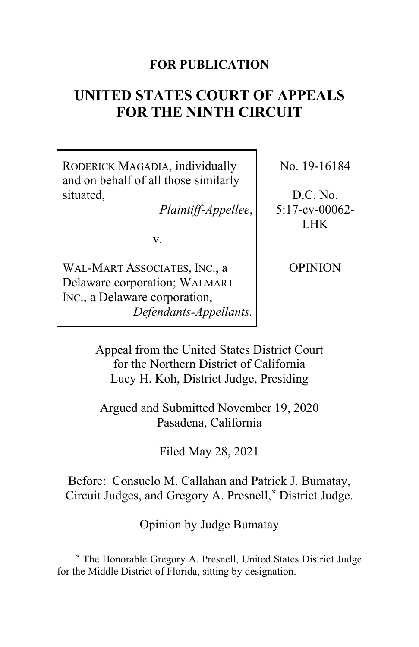### **FOR PUBLICATION**

# **UNITED STATES COURT OF APPEALS FOR THE NINTH CIRCUIT**

RODERICK MAGADIA, individually and on behalf of all those similarly situated,

*Plaintiff-Appellee*,

v.

WAL-MART ASSOCIATES, INC., a Delaware corporation; WALMART INC., a Delaware corporation, *Defendants-Appellants.* No. 19-16184

D.C. No. 5:17-cv-00062- LHK

OPINION

Appeal from the United States District Court for the Northern District of California Lucy H. Koh, District Judge, Presiding

Argued and Submitted November 19, 2020 Pasadena, California

Filed May 28, 2021

Before: Consuelo M. Callahan and Patrick J. Bumatay, Circuit Judges, and Gregory A. Presnell,**[\\*](#page-0-0)** District Judge.

Opinion by Judge Bumatay

<span id="page-0-0"></span>**<sup>\*</sup>** The Honorable Gregory A. Presnell, United States District Judge for the Middle District of Florida, sitting by designation.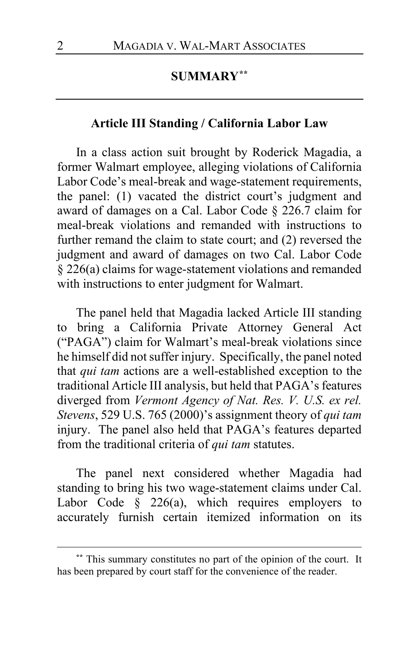### **SUMMARY[\\*\\*](#page-1-0)**

### **Article III Standing / California Labor Law**

In a class action suit brought by Roderick Magadia, a former Walmart employee, alleging violations of California Labor Code's meal-break and wage-statement requirements, the panel: (1) vacated the district court's judgment and award of damages on a Cal. Labor Code § 226.7 claim for meal-break violations and remanded with instructions to further remand the claim to state court; and (2) reversed the judgment and award of damages on two Cal. Labor Code § 226(a) claims for wage-statement violations and remanded with instructions to enter judgment for Walmart.

The panel held that Magadia lacked Article III standing to bring a California Private Attorney General Act ("PAGA") claim for Walmart's meal-break violations since he himself did not suffer injury. Specifically, the panel noted that *qui tam* actions are a well-established exception to the traditional Article III analysis, but held that PAGA's features diverged from *Vermont Agency of Nat. Res. V. U.S. ex rel. Stevens*, 529 U.S. 765 (2000)'s assignment theory of *qui tam* injury. The panel also held that PAGA's features departed from the traditional criteria of *qui tam* statutes.

The panel next considered whether Magadia had standing to bring his two wage-statement claims under Cal. Labor Code  $\S$  226(a), which requires employers to accurately furnish certain itemized information on its

<span id="page-1-0"></span>**<sup>\*\*</sup>** This summary constitutes no part of the opinion of the court. It has been prepared by court staff for the convenience of the reader.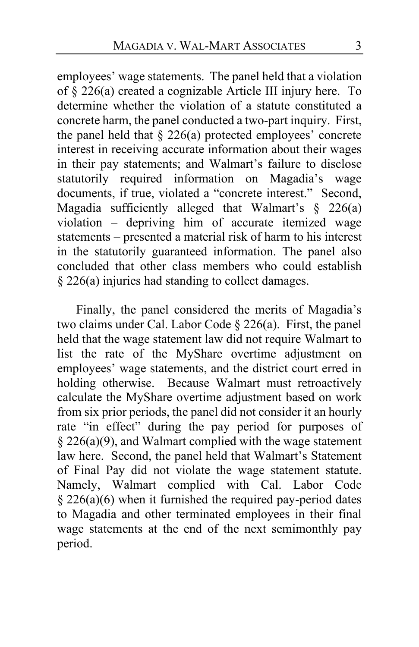employees' wage statements. The panel held that a violation of § 226(a) created a cognizable Article III injury here. To determine whether the violation of a statute constituted a concrete harm, the panel conducted a two-part inquiry. First, the panel held that  $\S 226(a)$  protected employees' concrete interest in receiving accurate information about their wages in their pay statements; and Walmart's failure to disclose statutorily required information on Magadia's wage documents, if true, violated a "concrete interest." Second, Magadia sufficiently alleged that Walmart's § 226(a) violation – depriving him of accurate itemized wage statements – presented a material risk of harm to his interest in the statutorily guaranteed information. The panel also concluded that other class members who could establish § 226(a) injuries had standing to collect damages.

Finally, the panel considered the merits of Magadia's two claims under Cal. Labor Code § 226(a). First, the panel held that the wage statement law did not require Walmart to list the rate of the MyShare overtime adjustment on employees' wage statements, and the district court erred in holding otherwise. Because Walmart must retroactively calculate the MyShare overtime adjustment based on work from six prior periods, the panel did not consider it an hourly rate "in effect" during the pay period for purposes of  $§$  226(a)(9), and Walmart complied with the wage statement law here. Second, the panel held that Walmart's Statement of Final Pay did not violate the wage statement statute. Namely, Walmart complied with Cal. Labor Code  $§$  226(a)(6) when it furnished the required pay-period dates to Magadia and other terminated employees in their final wage statements at the end of the next semimonthly pay period.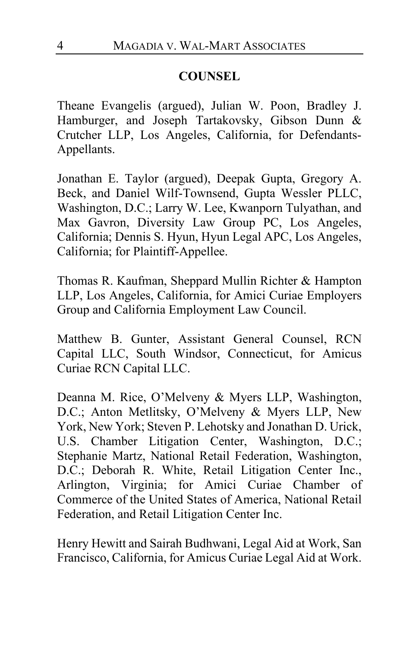## **COUNSEL**

Theane Evangelis (argued), Julian W. Poon, Bradley J. Hamburger, and Joseph Tartakovsky, Gibson Dunn & Crutcher LLP, Los Angeles, California, for Defendants-Appellants.

Jonathan E. Taylor (argued), Deepak Gupta, Gregory A. Beck, and Daniel Wilf-Townsend, Gupta Wessler PLLC, Washington, D.C.; Larry W. Lee, Kwanporn Tulyathan, and Max Gavron, Diversity Law Group PC, Los Angeles, California; Dennis S. Hyun, Hyun Legal APC, Los Angeles, California; for Plaintiff-Appellee.

Thomas R. Kaufman, Sheppard Mullin Richter & Hampton LLP, Los Angeles, California, for Amici Curiae Employers Group and California Employment Law Council.

Matthew B. Gunter, Assistant General Counsel, RCN Capital LLC, South Windsor, Connecticut, for Amicus Curiae RCN Capital LLC.

Deanna M. Rice, O'Melveny & Myers LLP, Washington, D.C.; Anton Metlitsky, O'Melveny & Myers LLP, New York, New York; Steven P. Lehotsky and Jonathan D. Urick, U.S. Chamber Litigation Center, Washington, D.C.; Stephanie Martz, National Retail Federation, Washington, D.C.; Deborah R. White, Retail Litigation Center Inc., Arlington, Virginia; for Amici Curiae Chamber of Commerce of the United States of America, National Retail Federation, and Retail Litigation Center Inc.

Henry Hewitt and Sairah Budhwani, Legal Aid at Work, San Francisco, California, for Amicus Curiae Legal Aid at Work.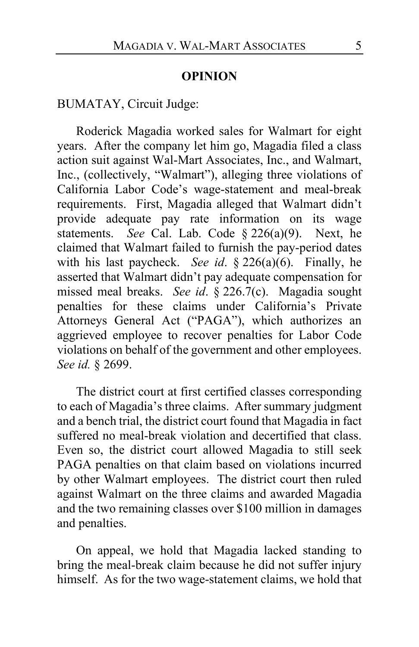#### **OPINION**

BUMATAY, Circuit Judge:

Roderick Magadia worked sales for Walmart for eight years. After the company let him go, Magadia filed a class action suit against Wal-Mart Associates, Inc., and Walmart, Inc., (collectively, "Walmart"), alleging three violations of California Labor Code's wage-statement and meal-break requirements. First, Magadia alleged that Walmart didn't provide adequate pay rate information on its wage statements. *See* Cal. Lab. Code § 226(a)(9). Next, he claimed that Walmart failed to furnish the pay-period dates with his last paycheck. *See id*. § 226(a)(6). Finally, he asserted that Walmart didn't pay adequate compensation for missed meal breaks. *See id*. § 226.7(c). Magadia sought penalties for these claims under California's Private Attorneys General Act ("PAGA"), which authorizes an aggrieved employee to recover penalties for Labor Code violations on behalf of the government and other employees. *See id.* § 2699.

The district court at first certified classes corresponding to each of Magadia's three claims. After summary judgment and a bench trial, the district court found that Magadia in fact suffered no meal-break violation and decertified that class. Even so, the district court allowed Magadia to still seek PAGA penalties on that claim based on violations incurred by other Walmart employees. The district court then ruled against Walmart on the three claims and awarded Magadia and the two remaining classes over \$100 million in damages and penalties.

On appeal, we hold that Magadia lacked standing to bring the meal-break claim because he did not suffer injury himself. As for the two wage-statement claims, we hold that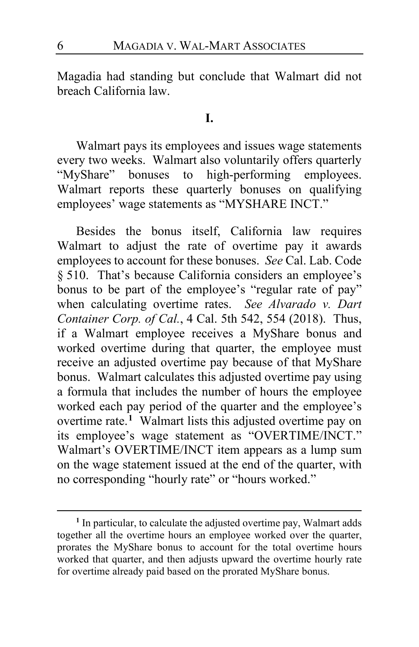Magadia had standing but conclude that Walmart did not breach California law.

#### **I.**

Walmart pays its employees and issues wage statements every two weeks. Walmart also voluntarily offers quarterly "MyShare" bonuses to high-performing employees. Walmart reports these quarterly bonuses on qualifying employees' wage statements as "MYSHARE INCT."

Besides the bonus itself, California law requires Walmart to adjust the rate of overtime pay it awards employees to account for these bonuses. *See* Cal. Lab. Code § 510. That's because California considers an employee's bonus to be part of the employee's "regular rate of pay" when calculating overtime rates. *See Alvarado v. Dart Container Corp. of Cal.*, 4 Cal. 5th 542, 554 (2018). Thus, if a Walmart employee receives a MyShare bonus and worked overtime during that quarter, the employee must receive an adjusted overtime pay because of that MyShare bonus. Walmart calculates this adjusted overtime pay using a formula that includes the number of hours the employee worked each pay period of the quarter and the employee's overtime rate.**[1](#page-5-0)** Walmart lists this adjusted overtime pay on its employee's wage statement as "OVERTIME/INCT." Walmart's OVERTIME/INCT item appears as a lump sum on the wage statement issued at the end of the quarter, with no corresponding "hourly rate" or "hours worked."

<span id="page-5-0"></span>**<sup>1</sup>** In particular, to calculate the adjusted overtime pay, Walmart adds together all the overtime hours an employee worked over the quarter, prorates the MyShare bonus to account for the total overtime hours worked that quarter, and then adjusts upward the overtime hourly rate for overtime already paid based on the prorated MyShare bonus.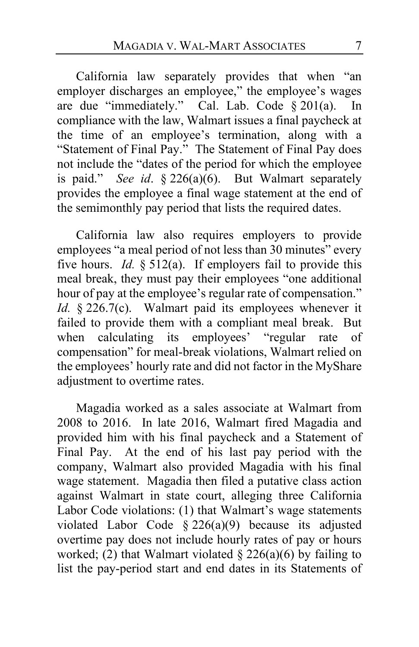California law separately provides that when "an employer discharges an employee," the employee's wages are due "immediately." Cal. Lab. Code § 201(a). In compliance with the law, Walmart issues a final paycheck at the time of an employee's termination, along with a "Statement of Final Pay." The Statement of Final Pay does not include the "dates of the period for which the employee is paid." *See id*. § 226(a)(6). But Walmart separately provides the employee a final wage statement at the end of the semimonthly pay period that lists the required dates.

California law also requires employers to provide employees "a meal period of not less than 30 minutes" every five hours. *Id.* § 512(a). If employers fail to provide this meal break, they must pay their employees "one additional hour of pay at the employee's regular rate of compensation." *Id.* § 226.7(c). Walmart paid its employees whenever it failed to provide them with a compliant meal break. But when calculating its employees' "regular rate of compensation" for meal-break violations, Walmart relied on the employees' hourly rate and did not factor in the MyShare adjustment to overtime rates.

Magadia worked as a sales associate at Walmart from 2008 to 2016. In late 2016, Walmart fired Magadia and provided him with his final paycheck and a Statement of Final Pay. At the end of his last pay period with the company, Walmart also provided Magadia with his final wage statement. Magadia then filed a putative class action against Walmart in state court, alleging three California Labor Code violations: (1) that Walmart's wage statements violated Labor Code  $\S 226(a)(9)$  because its adjusted overtime pay does not include hourly rates of pay or hours worked; (2) that Walmart violated  $\S 226(a)(6)$  by failing to list the pay-period start and end dates in its Statements of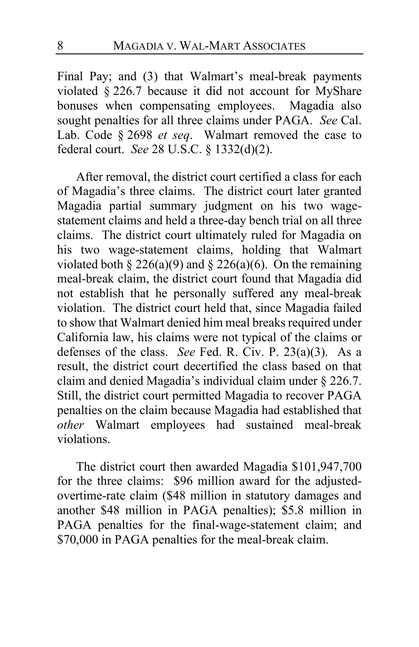Final Pay; and (3) that Walmart's meal-break payments violated § 226.7 because it did not account for MyShare bonuses when compensating employees. Magadia also sought penalties for all three claims under PAGA. *See* Cal. Lab. Code § 2698 *et seq*. Walmart removed the case to federal court. *See* 28 U.S.C. § 1332(d)(2).

After removal, the district court certified a class for each of Magadia's three claims. The district court later granted Magadia partial summary judgment on his two wagestatement claims and held a three-day bench trial on all three claims. The district court ultimately ruled for Magadia on his two wage-statement claims, holding that Walmart violated both § 226(a)(9) and § 226(a)(6). On the remaining meal-break claim, the district court found that Magadia did not establish that he personally suffered any meal-break violation. The district court held that, since Magadia failed to show that Walmart denied him meal breaks required under California law, his claims were not typical of the claims or defenses of the class. *See* Fed. R. Civ. P. 23(a)(3). As a result, the district court decertified the class based on that claim and denied Magadia's individual claim under § 226.7. Still, the district court permitted Magadia to recover PAGA penalties on the claim because Magadia had established that *other* Walmart employees had sustained meal-break violations.

The district court then awarded Magadia \$101,947,700 for the three claims: \$96 million award for the adjustedovertime-rate claim (\$48 million in statutory damages and another \$48 million in PAGA penalties); \$5.8 million in PAGA penalties for the final-wage-statement claim; and \$70,000 in PAGA penalties for the meal-break claim.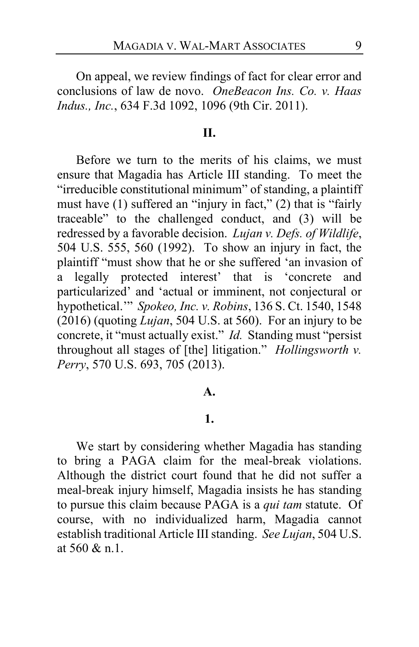On appeal, we review findings of fact for clear error and conclusions of law de novo. *OneBeacon Ins. Co. v. Haas Indus., Inc.*, 634 F.3d 1092, 1096 (9th Cir. 2011).

#### **II.**

Before we turn to the merits of his claims, we must ensure that Magadia has Article III standing. To meet the "irreducible constitutional minimum" of standing, a plaintiff must have (1) suffered an "injury in fact," (2) that is "fairly traceable" to the challenged conduct, and (3) will be redressed by a favorable decision. *Lujan v. Defs. of Wildlife*, 504 U.S. 555, 560 (1992). To show an injury in fact, the plaintiff "must show that he or she suffered 'an invasion of a legally protected interest' that is 'concrete and particularized' and 'actual or imminent, not conjectural or hypothetical.'" *Spokeo, Inc. v. Robins*, 136 S. Ct. 1540, 1548 (2016) (quoting *Lujan*, 504 U.S. at 560). For an injury to be concrete, it "must actually exist." *Id.* Standing must "persist throughout all stages of [the] litigation." *Hollingsworth v. Perry*, 570 U.S. 693, 705 (2013).

#### **A.**

#### **1.**

We start by considering whether Magadia has standing to bring a PAGA claim for the meal-break violations. Although the district court found that he did not suffer a meal-break injury himself, Magadia insists he has standing to pursue this claim because PAGA is a *qui tam* statute. Of course, with no individualized harm, Magadia cannot establish traditional Article III standing. *See Lujan*, 504 U.S. at 560 & n.1.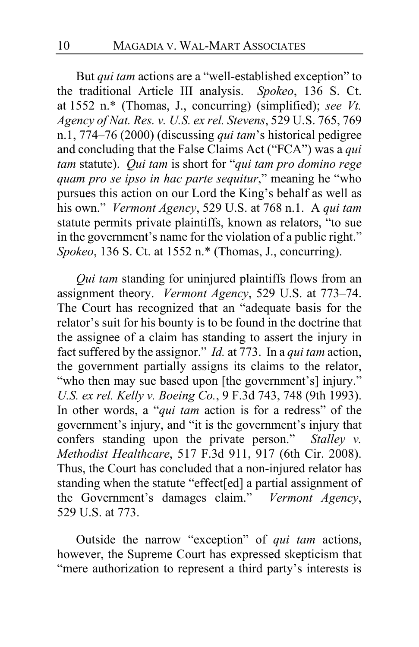But *qui tam* actions are a "well-established exception" to the traditional Article III analysis. *Spokeo*, 136 S. Ct. at 1552 n.\* (Thomas, J., concurring) (simplified); *see Vt. Agency of Nat. Res. v. U.S. ex rel. Stevens*, 529 U.S. 765, 769 n.1, 774–76 (2000) (discussing *qui tam*'s historical pedigree and concluding that the False Claims Act ("FCA") was a *qui tam* statute). *Qui tam* is short for "*qui tam pro domino rege quam pro se ipso in hac parte sequitur*," meaning he "who pursues this action on our Lord the King's behalf as well as his own." *Vermont Agency*, 529 U.S. at 768 n.1. A *qui tam* statute permits private plaintiffs, known as relators, "to sue in the government's name for the violation of a public right." *Spokeo*, 136 S. Ct. at 1552 n.\* (Thomas, J., concurring).

*Qui tam* standing for uninjured plaintiffs flows from an assignment theory. *Vermont Agency*, 529 U.S. at 773–74. The Court has recognized that an "adequate basis for the relator's suit for his bounty is to be found in the doctrine that the assignee of a claim has standing to assert the injury in fact suffered by the assignor." *Id.* at 773. In a *qui tam* action, the government partially assigns its claims to the relator, "who then may sue based upon [the government's] injury." *U.S. ex rel. Kelly v. Boeing Co.*, 9 F.3d 743, 748 (9th 1993). In other words, a "*qui tam* action is for a redress" of the government's injury, and "it is the government's injury that confers standing upon the private person." *Stalley v. Methodist Healthcare*, 517 F.3d 911, 917 (6th Cir. 2008). Thus, the Court has concluded that a non-injured relator has standing when the statute "effect[ed] a partial assignment of the Government's damages claim." *Vermont Agency*, 529 U.S. at 773.

Outside the narrow "exception" of *qui tam* actions, however, the Supreme Court has expressed skepticism that "mere authorization to represent a third party's interests is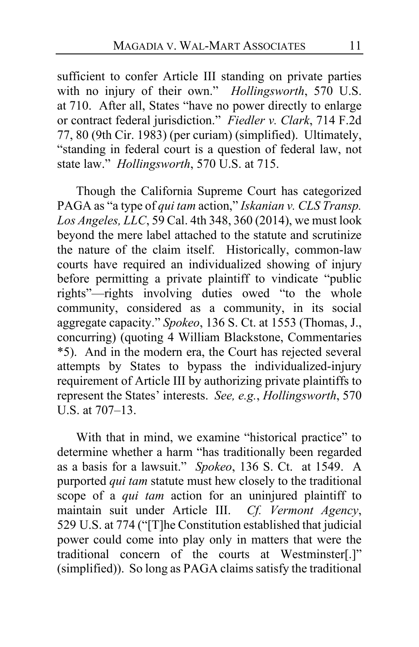sufficient to confer Article III standing on private parties with no injury of their own." *Hollingsworth*, 570 U.S. at 710. After all, States "have no power directly to enlarge or contract federal jurisdiction." *Fiedler v. Clark*, 714 F.2d 77, 80 (9th Cir. 1983) (per curiam) (simplified). Ultimately, "standing in federal court is a question of federal law, not state law." *Hollingsworth*, 570 U.S. at 715.

Though the California Supreme Court has categorized PAGA as "a type of *qui tam* action," *Iskanian v. CLS Transp. Los Angeles, LLC*, 59 Cal. 4th 348, 360 (2014), we must look beyond the mere label attached to the statute and scrutinize the nature of the claim itself. Historically, common-law courts have required an individualized showing of injury before permitting a private plaintiff to vindicate "public rights"—rights involving duties owed "to the whole community, considered as a community, in its social aggregate capacity." *Spokeo*, 136 S. Ct. at 1553 (Thomas, J., concurring) (quoting 4 William Blackstone, Commentaries \*5). And in the modern era, the Court has rejected several attempts by States to bypass the individualized-injury requirement of Article III by authorizing private plaintiffs to represent the States' interests. *See, e.g.*, *Hollingsworth*, 570 U.S. at 707–13.

With that in mind, we examine "historical practice" to determine whether a harm "has traditionally been regarded as a basis for a lawsuit." *Spokeo*, 136 S. Ct. at 1549. A purported *qui tam* statute must hew closely to the traditional scope of a *qui tam* action for an uninjured plaintiff to maintain suit under Article III. *Cf. Vermont Agency*, 529 U.S. at 774 ("[T]he Constitution established that judicial power could come into play only in matters that were the traditional concern of the courts at Westminster[.]" (simplified)). So long as PAGA claims satisfy the traditional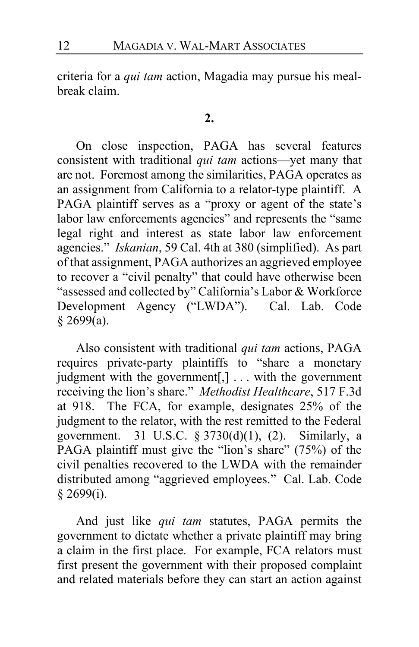criteria for a *qui tam* action, Magadia may pursue his mealbreak claim.

#### **2.**

On close inspection, PAGA has several features consistent with traditional *qui tam* actions—yet many that are not. Foremost among the similarities, PAGA operates as an assignment from California to a relator-type plaintiff. A PAGA plaintiff serves as a "proxy or agent of the state's labor law enforcements agencies" and represents the "same legal right and interest as state labor law enforcement agencies." *Iskanian*, 59 Cal. 4th at 380 (simplified). As part of that assignment, PAGA authorizes an aggrieved employee to recover a "civil penalty" that could have otherwise been "assessed and collected by" California's Labor & Workforce Development Agency ("LWDA"). Cal. Lab. Code  $§$  2699(a).

Also consistent with traditional *qui tam* actions, PAGA requires private-party plaintiffs to "share a monetary judgment with the government[,] . . . with the government receiving the lion's share." *Methodist Healthcare*, 517 F.3d at 918. The FCA, for example, designates 25% of the judgment to the relator, with the rest remitted to the Federal government. 31 U.S.C.  $\S 3730(d)(1)$ , (2). Similarly, a PAGA plaintiff must give the "lion's share" (75%) of the civil penalties recovered to the LWDA with the remainder distributed among "aggrieved employees." Cal. Lab. Code § 2699(i).

And just like *qui tam* statutes, PAGA permits the government to dictate whether a private plaintiff may bring a claim in the first place. For example, FCA relators must first present the government with their proposed complaint and related materials before they can start an action against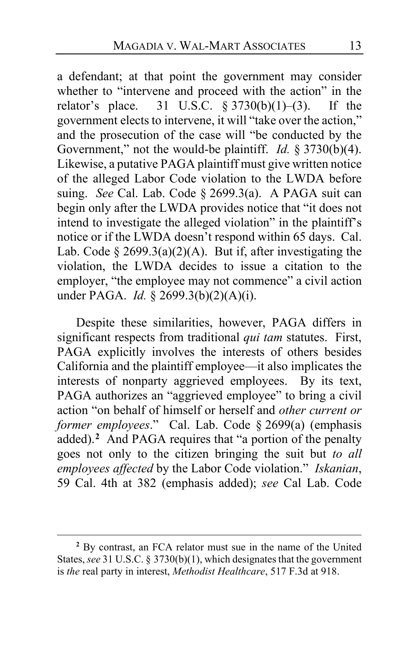a defendant; at that point the government may consider whether to "intervene and proceed with the action" in the relator's place. 31 U.S.C.  $§ 3730(b)(1)–(3)$ . If the government elects to intervene, it will "take over the action," and the prosecution of the case will "be conducted by the Government," not the would-be plaintiff. *Id.* § 3730(b)(4). Likewise, a putative PAGA plaintiff must give written notice of the alleged Labor Code violation to the LWDA before suing. *See* Cal. Lab. Code § 2699.3(a). A PAGA suit can begin only after the LWDA provides notice that "it does not intend to investigate the alleged violation" in the plaintiff's notice or if the LWDA doesn't respond within 65 days. Cal. Lab. Code § 2699.3(a)(2)(A). But if, after investigating the violation, the LWDA decides to issue a citation to the employer, "the employee may not commence" a civil action under PAGA. *Id.* § 2699.3(b)(2)(A)(i).

Despite these similarities, however, PAGA differs in significant respects from traditional *qui tam* statutes. First, PAGA explicitly involves the interests of others besides California and the plaintiff employee—it also implicates the interests of nonparty aggrieved employees. By its text, PAGA authorizes an "aggrieved employee" to bring a civil action "on behalf of himself or herself and *other current or former employees*." Cal. Lab. Code § 2699(a) (emphasis added).**[2](#page-12-0)** And PAGA requires that "a portion of the penalty goes not only to the citizen bringing the suit but *to all employees affected* by the Labor Code violation." *Iskanian*, 59 Cal. 4th at 382 (emphasis added); *see* Cal Lab. Code

<span id="page-12-0"></span>**<sup>2</sup>** By contrast, an FCA relator must sue in the name of the United States, *see* 31 U.S.C. § 3730(b)(1), which designates that the government is *the* real party in interest, *Methodist Healthcare*, 517 F.3d at 918.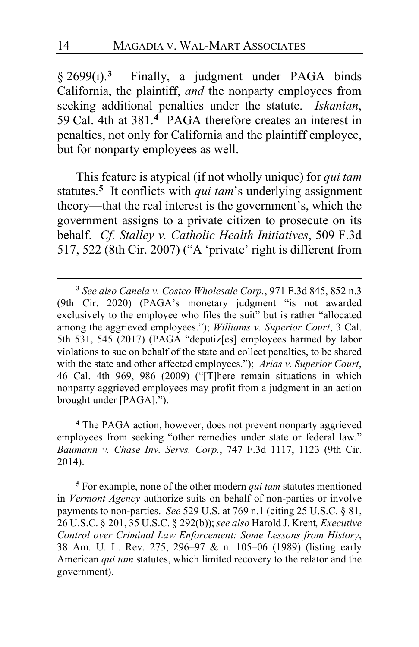§ 2699(i).**[3](#page-13-0)** Finally, a judgment under PAGA binds California, the plaintiff, *and* the nonparty employees from seeking additional penalties under the statute. *Iskanian*, 59 Cal. 4th at 381.**[4](#page-13-1)** PAGA therefore creates an interest in penalties, not only for California and the plaintiff employee, but for nonparty employees as well.

This feature is atypical (if not wholly unique) for *qui tam* statutes.**[5](#page-13-2)** It conflicts with *qui tam*'s underlying assignment theory—that the real interest is the government's, which the government assigns to a private citizen to prosecute on its behalf. *Cf. Stalley v. Catholic Health Initiatives*, 509 F.3d 517, 522 (8th Cir. 2007) ("A 'private' right is different from

<span id="page-13-1"></span>**<sup>4</sup>** The PAGA action, however, does not prevent nonparty aggrieved employees from seeking "other remedies under state or federal law." *Baumann v. Chase Inv. Servs. Corp.*, 747 F.3d 1117, 1123 (9th Cir. 2014).

<span id="page-13-2"></span>**<sup>5</sup>** For example, none of the other modern *qui tam* statutes mentioned in *Vermont Agency* authorize suits on behalf of non-parties or involve payments to non-parties. *See* 529 U.S. at 769 n.1 (citing 25 U.S.C. § 81, 26 U.S.C. § 201, 35 U.S.C. § 292(b)); *see also* Harold J. Krent*, Executive Control over Criminal Law Enforcement: Some Lessons from History*, 38 Am. U. L. Rev. 275, 296–97 & n. 105–06 (1989) (listing early American *qui tam* statutes, which limited recovery to the relator and the government).

<span id="page-13-0"></span>**<sup>3</sup>** *See also Canela v. Costco Wholesale Corp.*, 971 F.3d 845, 852 n.3 (9th Cir. 2020) (PAGA's monetary judgment "is not awarded exclusively to the employee who files the suit" but is rather "allocated among the aggrieved employees."); *Williams v. Superior Court*, 3 Cal. 5th 531, 545 (2017) (PAGA "deputiz[es] employees harmed by labor violations to sue on behalf of the state and collect penalties, to be shared with the state and other affected employees."); *Arias v. Superior Court*, 46 Cal. 4th 969, 986 (2009) ("[T]here remain situations in which nonparty aggrieved employees may profit from a judgment in an action brought under [PAGA].").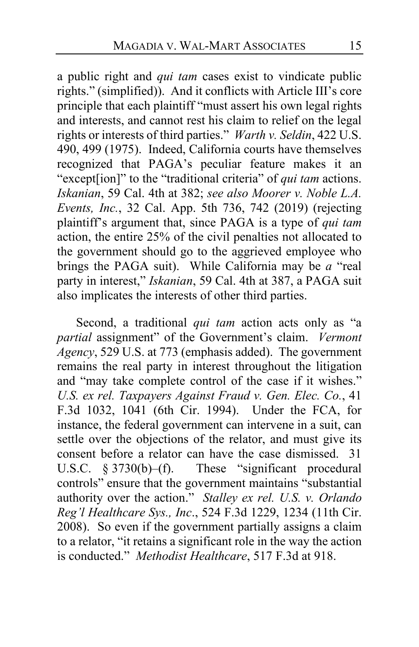a public right and *qui tam* cases exist to vindicate public rights." (simplified)).And it conflicts with Article III's core principle that each plaintiff "must assert his own legal rights and interests, and cannot rest his claim to relief on the legal rights or interests of third parties." *Warth v. Seldin*, 422 U.S. 490, 499 (1975). Indeed, California courts have themselves recognized that PAGA's peculiar feature makes it an "except[ion]" to the "traditional criteria" of *qui tam* actions. *Iskanian*, 59 Cal. 4th at 382; *see also Moorer v. Noble L.A. Events, Inc.*, 32 Cal. App. 5th 736, 742 (2019) (rejecting plaintiff's argument that, since PAGA is a type of *qui tam* action, the entire 25% of the civil penalties not allocated to the government should go to the aggrieved employee who brings the PAGA suit).While California may be *a* "real party in interest," *Iskanian*, 59 Cal. 4th at 387, a PAGA suit also implicates the interests of other third parties.

Second, a traditional *qui tam* action acts only as "a *partial* assignment" of the Government's claim. *Vermont Agency*, 529 U.S. at 773 (emphasis added). The government remains the real party in interest throughout the litigation and "may take complete control of the case if it wishes." *U.S. ex rel. Taxpayers Against Fraud v. Gen. Elec. Co.*, 41 F.3d 1032, 1041 (6th Cir. 1994). Under the FCA, for instance, the federal government can intervene in a suit, can settle over the objections of the relator, and must give its consent before a relator can have the case dismissed. 31 U.S.C.  $\S 3730(b)$ –(f). These "significant procedural These "significant procedural controls" ensure that the government maintains "substantial authority over the action." *Stalley ex rel. U.S. v. Orlando Reg'l Healthcare Sys., Inc*., 524 F.3d 1229, 1234 (11th Cir. 2008). So even if the government partially assigns a claim to a relator, "it retains a significant role in the way the action is conducted." *Methodist Healthcare*, 517 F.3d at 918.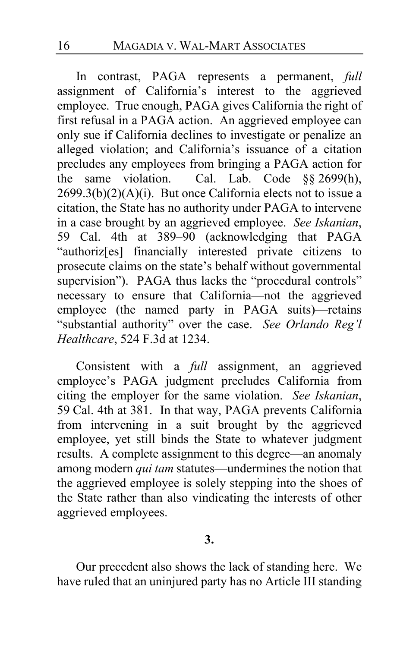In contrast, PAGA represents a permanent, *full* assignment of California's interest to the aggrieved employee. True enough, PAGA gives California the right of first refusal in a PAGA action. An aggrieved employee can only sue if California declines to investigate or penalize an alleged violation; and California's issuance of a citation precludes any employees from bringing a PAGA action for<br>the same violation. Cal. Lab. Code 88.2699(h). the same violation. Cal. Lab. Code §§ 2699(h),  $2699.3(b)(2)(A)(i)$ . But once California elects not to issue a citation, the State has no authority under PAGA to intervene in a case brought by an aggrieved employee. *See Iskanian*, 59 Cal. 4th at 389–90 (acknowledging that PAGA "authoriz[es] financially interested private citizens to prosecute claims on the state's behalf without governmental supervision"). PAGA thus lacks the "procedural controls" necessary to ensure that California—not the aggrieved employee (the named party in PAGA suits)—retains "substantial authority" over the case. *See Orlando Reg'l Healthcare*, 524 F.3d at 1234.

Consistent with a *full* assignment, an aggrieved employee's PAGA judgment precludes California from citing the employer for the same violation. *See Iskanian*, 59 Cal. 4th at 381. In that way, PAGA prevents California from intervening in a suit brought by the aggrieved employee, yet still binds the State to whatever judgment results. A complete assignment to this degree—an anomaly among modern *qui tam* statutes—undermines the notion that the aggrieved employee is solely stepping into the shoes of the State rather than also vindicating the interests of other aggrieved employees.

**3.**

Our precedent also shows the lack of standing here. We have ruled that an uninjured party has no Article III standing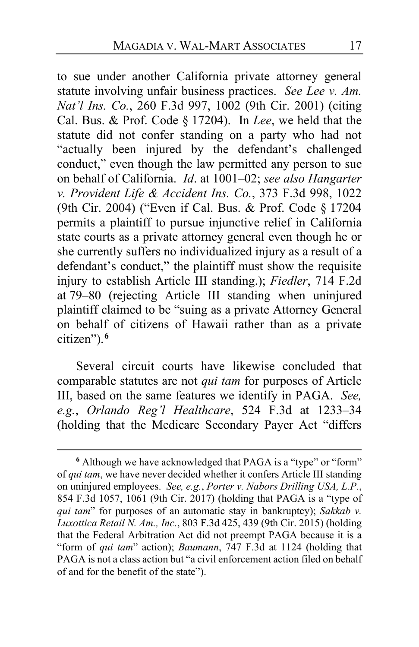to sue under another California private attorney general statute involving unfair business practices. *See Lee v. Am. Nat'l Ins. Co.*, 260 F.3d 997, 1002 (9th Cir. 2001) (citing Cal. Bus. & Prof. Code § 17204). In *Lee*, we held that the statute did not confer standing on a party who had not "actually been injured by the defendant's challenged conduct," even though the law permitted any person to sue on behalf of California. *Id*. at 1001–02; *see also Hangarter v. Provident Life & Accident Ins. Co.*, 373 F.3d 998, 1022 (9th Cir. 2004) ("Even if Cal. Bus. & Prof. Code § 17204 permits a plaintiff to pursue injunctive relief in California state courts as a private attorney general even though he or she currently suffers no individualized injury as a result of a defendant's conduct," the plaintiff must show the requisite injury to establish Article III standing.); *Fiedler*, 714 F.2d at 79–80 (rejecting Article III standing when uninjured plaintiff claimed to be "suing as a private Attorney General on behalf of citizens of Hawaii rather than as a private citizen").**[6](#page-16-0)**

Several circuit courts have likewise concluded that comparable statutes are not *qui tam* for purposes of Article III, based on the same features we identify in PAGA. *See, e.g.*, *Orlando Reg'l Healthcare*, 524 F.3d at 1233–34 (holding that the Medicare Secondary Payer Act "differs

<span id="page-16-0"></span>**<sup>6</sup>** Although we have acknowledged that PAGA is a "type" or "form" of *qui tam*, we have never decided whether it confers Article III standing on uninjured employees. *See, e.g.*, *Porter v. Nabors Drilling USA, L.P.*, 854 F.3d 1057, 1061 (9th Cir. 2017) (holding that PAGA is a "type of *qui tam*" for purposes of an automatic stay in bankruptcy); *Sakkab v. Luxottica Retail N. Am., Inc.*, 803 F.3d 425, 439 (9th Cir. 2015) (holding that the Federal Arbitration Act did not preempt PAGA because it is a "form of *qui tam*" action); *Baumann*, 747 F.3d at 1124 (holding that PAGA is not a class action but "a civil enforcement action filed on behalf of and for the benefit of the state").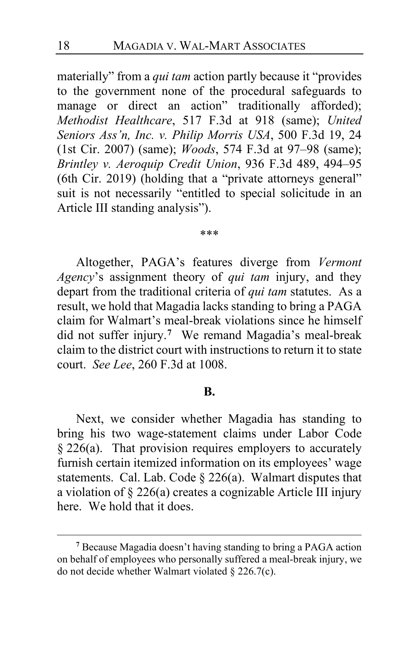materially" from a *qui tam* action partly because it "provides to the government none of the procedural safeguards to manage or direct an action" traditionally afforded); *Methodist Healthcare*, 517 F.3d at 918 (same); *United Seniors Ass'n, Inc. v. Philip Morris USA*, 500 F.3d 19, 24 (1st Cir. 2007) (same); *Woods*, 574 F.3d at 97–98 (same); *Brintley v. Aeroquip Credit Union*, 936 F.3d 489, 494–95 (6th Cir. 2019) (holding that a "private attorneys general" suit is not necessarily "entitled to special solicitude in an Article III standing analysis").

#### \*\*\*

Altogether, PAGA's features diverge from *Vermont Agency*'s assignment theory of *qui tam* injury, and they depart from the traditional criteria of *qui tam* statutes. As a result, we hold that Magadia lacks standing to bring a PAGA claim for Walmart's meal-break violations since he himself did not suffer injury.**[7](#page-17-0)** We remand Magadia's meal-break claim to the district court with instructions to return it to state court. *See Lee*, 260 F.3d at 1008.

#### **B.**

Next, we consider whether Magadia has standing to bring his two wage-statement claims under Labor Code  $§$  226(a). That provision requires employers to accurately furnish certain itemized information on its employees' wage statements. Cal. Lab. Code § 226(a). Walmart disputes that a violation of § 226(a) creates a cognizable Article III injury here. We hold that it does.

<span id="page-17-0"></span>**<sup>7</sup>** Because Magadia doesn't having standing to bring a PAGA action on behalf of employees who personally suffered a meal-break injury, we do not decide whether Walmart violated § 226.7(c).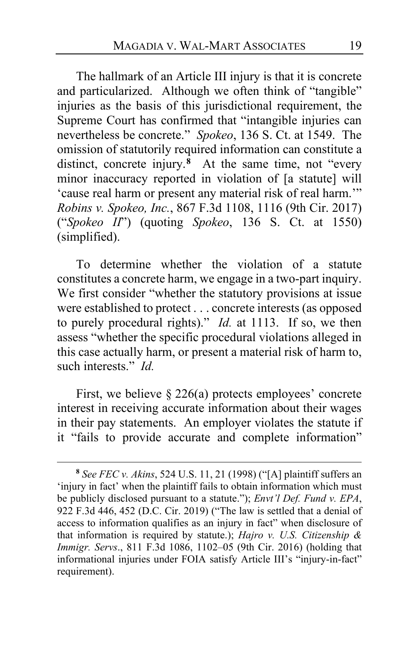The hallmark of an Article III injury is that it is concrete and particularized. Although we often think of "tangible" injuries as the basis of this jurisdictional requirement, the Supreme Court has confirmed that "intangible injuries can nevertheless be concrete." *Spokeo*, 136 S. Ct. at 1549. The omission of statutorily required information can constitute a distinct, concrete injury.**[8](#page-18-0)** At the same time, not "every minor inaccuracy reported in violation of [a statute] will 'cause real harm or present any material risk of real harm.'" *Robins v. Spokeo, Inc.*, 867 F.3d 1108, 1116 (9th Cir. 2017) ("*Spokeo II*") (quoting *Spokeo*, 136 S. Ct. at 1550) (simplified).

To determine whether the violation of a statute constitutes a concrete harm, we engage in a two-part inquiry. We first consider "whether the statutory provisions at issue were established to protect . . . concrete interests (as opposed to purely procedural rights)." *Id.* at 1113. If so, we then assess "whether the specific procedural violations alleged in this case actually harm, or present a material risk of harm to, such interests." *Id.*

First, we believe § 226(a) protects employees' concrete interest in receiving accurate information about their wages in their pay statements. An employer violates the statute if it "fails to provide accurate and complete information"

<span id="page-18-0"></span>**<sup>8</sup>** *See FEC v. Akins*, 524 U.S. 11, 21 (1998) ("[A] plaintiff suffers an 'injury in fact' when the plaintiff fails to obtain information which must be publicly disclosed pursuant to a statute."); *Envt'l Def. Fund v. EPA*, 922 F.3d 446, 452 (D.C. Cir. 2019) ("The law is settled that a denial of access to information qualifies as an injury in fact" when disclosure of that information is required by statute.); *Hajro v. U.S. Citizenship & Immigr. Servs*., 811 F.3d 1086, 1102–05 (9th Cir. 2016) (holding that informational injuries under FOIA satisfy Article III's "injury-in-fact" requirement).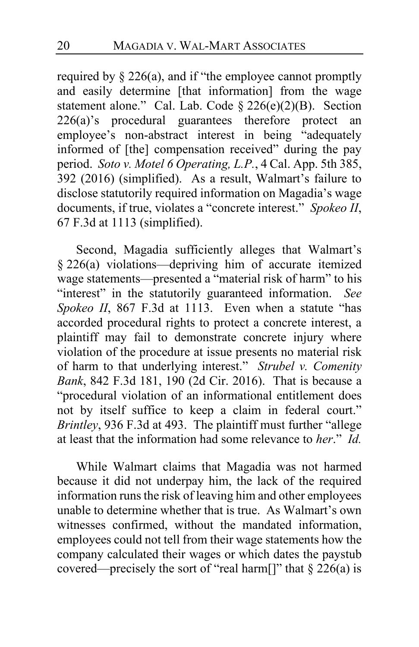required by § 226(a), and if "the employee cannot promptly and easily determine [that information] from the wage statement alone." Cal. Lab. Code § 226(e)(2)(B). Section 226(a)'s procedural guarantees therefore protect an employee's non-abstract interest in being "adequately informed of [the] compensation received" during the pay period. *Soto v. Motel 6 Operating, L.P.*, 4 Cal. App. 5th 385, 392 (2016) (simplified). As a result, Walmart's failure to disclose statutorily required information on Magadia's wage documents, if true, violates a "concrete interest." *Spokeo II*, 67 F.3d at 1113 (simplified).

Second, Magadia sufficiently alleges that Walmart's § 226(a) violations—depriving him of accurate itemized wage statements—presented a "material risk of harm" to his "interest" in the statutorily guaranteed information. *See Spokeo II*, 867 F.3d at 1113. Even when a statute "has accorded procedural rights to protect a concrete interest, a plaintiff may fail to demonstrate concrete injury where violation of the procedure at issue presents no material risk of harm to that underlying interest." *Strubel v. Comenity Bank*, 842 F.3d 181, 190 (2d Cir. 2016). That is because a "procedural violation of an informational entitlement does not by itself suffice to keep a claim in federal court." *Brintley*, 936 F.3d at 493. The plaintiff must further "allege at least that the information had some relevance to *her*." *Id.*

While Walmart claims that Magadia was not harmed because it did not underpay him, the lack of the required information runs the risk of leaving him and other employees unable to determine whether that is true. As Walmart's own witnesses confirmed, without the mandated information, employees could not tell from their wage statements how the company calculated their wages or which dates the paystub covered—precisely the sort of "real harm[]" that  $\S 226(a)$  is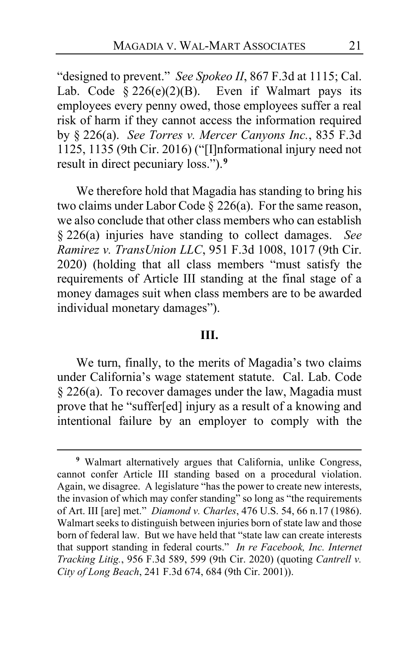"designed to prevent." *See Spokeo II*, 867 F.3d at 1115; Cal. Lab. Code  $\S 226(e)(2)(B)$ . Even if Walmart pays its employees every penny owed, those employees suffer a real risk of harm if they cannot access the information required by § 226(a). *See Torres v. Mercer Canyons Inc.*, 835 F.3d 1125, 1135 (9th Cir. 2016) ("[I]nformational injury need not result in direct pecuniary loss.").**[9](#page-20-0)**

We therefore hold that Magadia has standing to bring his two claims under Labor Code § 226(a). For the same reason, we also conclude that other class members who can establish § 226(a) injuries have standing to collect damages. *See Ramirez v. TransUnion LLC*, 951 F.3d 1008, 1017 (9th Cir. 2020) (holding that all class members "must satisfy the requirements of Article III standing at the final stage of a money damages suit when class members are to be awarded individual monetary damages").

#### **III.**

We turn, finally, to the merits of Magadia's two claims under California's wage statement statute. Cal. Lab. Code § 226(a). To recover damages under the law, Magadia must prove that he "suffer[ed] injury as a result of a knowing and intentional failure by an employer to comply with the

<span id="page-20-0"></span>**<sup>9</sup>** Walmart alternatively argues that California, unlike Congress, cannot confer Article III standing based on a procedural violation. Again, we disagree. A legislature "has the power to create new interests, the invasion of which may confer standing" so long as "the requirements of Art. III [are] met." *Diamond v. Charles*, 476 U.S. 54, 66 n.17 (1986). Walmart seeks to distinguish between injuries born of state law and those born of federal law. But we have held that "state law can create interests that support standing in federal courts." *In re Facebook, Inc. Internet Tracking Litig.*, 956 F.3d 589, 599 (9th Cir. 2020) (quoting *Cantrell v. City of Long Beach*, 241 F.3d 674, 684 (9th Cir. 2001)).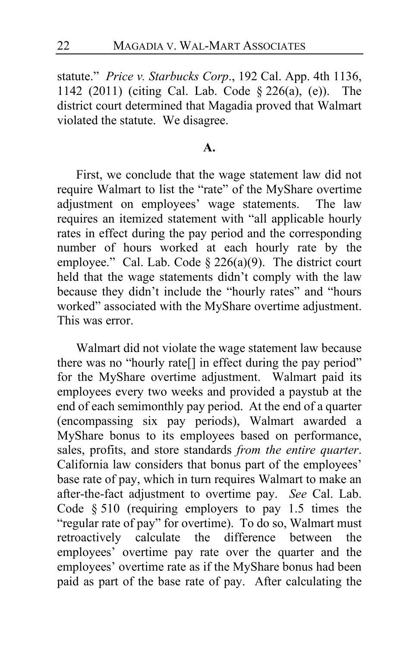statute." *Price v. Starbucks Corp*., 192 Cal. App. 4th 1136, 1142 (2011) (citing Cal. Lab. Code § 226(a), (e)). The district court determined that Magadia proved that Walmart violated the statute. We disagree.

#### **A.**

First, we conclude that the wage statement law did not require Walmart to list the "rate" of the MyShare overtime adjustment on employees' wage statements. The law requires an itemized statement with "all applicable hourly rates in effect during the pay period and the corresponding number of hours worked at each hourly rate by the employee." Cal. Lab. Code  $\S 226(a)(9)$ . The district court held that the wage statements didn't comply with the law because they didn't include the "hourly rates" and "hours worked" associated with the MyShare overtime adjustment. This was error.

Walmart did not violate the wage statement law because there was no "hourly rate<sup>[]</sup> in effect during the pay period" for the MyShare overtime adjustment. Walmart paid its employees every two weeks and provided a paystub at the end of each semimonthly pay period. At the end of a quarter (encompassing six pay periods), Walmart awarded a MyShare bonus to its employees based on performance, sales, profits, and store standards *from the entire quarter*. California law considers that bonus part of the employees' base rate of pay, which in turn requires Walmart to make an after-the-fact adjustment to overtime pay. *See* Cal. Lab. Code § 510 (requiring employers to pay 1.5 times the "regular rate of pay" for overtime). To do so, Walmart must<br>retroactively calculate the difference between the retroactively calculate the difference between the employees' overtime pay rate over the quarter and the employees' overtime rate as if the MyShare bonus had been paid as part of the base rate of pay. After calculating the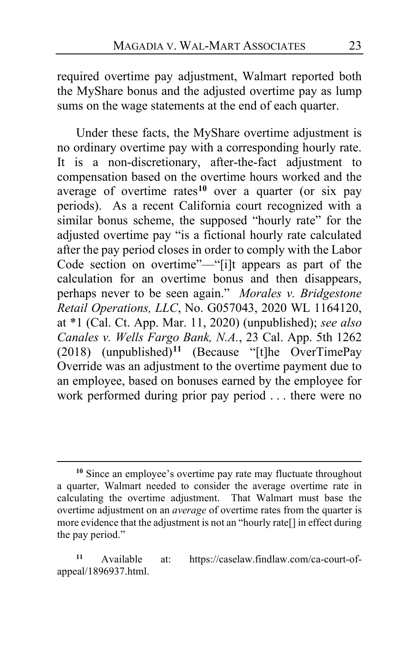required overtime pay adjustment, Walmart reported both the MyShare bonus and the adjusted overtime pay as lump sums on the wage statements at the end of each quarter.

Under these facts, the MyShare overtime adjustment is no ordinary overtime pay with a corresponding hourly rate. It is a non-discretionary, after-the-fact adjustment to compensation based on the overtime hours worked and the average of overtime rates**[10](#page-22-0)** over a quarter (or six pay periods). As a recent California court recognized with a similar bonus scheme, the supposed "hourly rate" for the adjusted overtime pay "is a fictional hourly rate calculated after the pay period closes in order to comply with the Labor Code section on overtime"—"[i]t appears as part of the calculation for an overtime bonus and then disappears, perhaps never to be seen again." *Morales v. Bridgestone Retail Operations, LLC*, No. G057043, 2020 WL 1164120, at \*1 (Cal. Ct. App. Mar. 11, 2020) (unpublished); *see also Canales v. Wells Fargo Bank, N.A.*, 23 Cal. App. 5th 1262 (2018) (unpublished)**[11](#page-22-1)** (Because "[t]he OverTimePay Override was an adjustment to the overtime payment due to an employee, based on bonuses earned by the employee for work performed during prior pay period . . . there were no

<span id="page-22-0"></span>**<sup>10</sup>** Since an employee's overtime pay rate may fluctuate throughout a quarter, Walmart needed to consider the average overtime rate in calculating the overtime adjustment. That Walmart must base the overtime adjustment on an *average* of overtime rates from the quarter is more evidence that the adjustment is not an "hourly rate[] in effect during the pay period."

<span id="page-22-1"></span>**<sup>11</sup>** Available at: https://caselaw.findlaw.com/ca-court-ofappeal/1896937.html.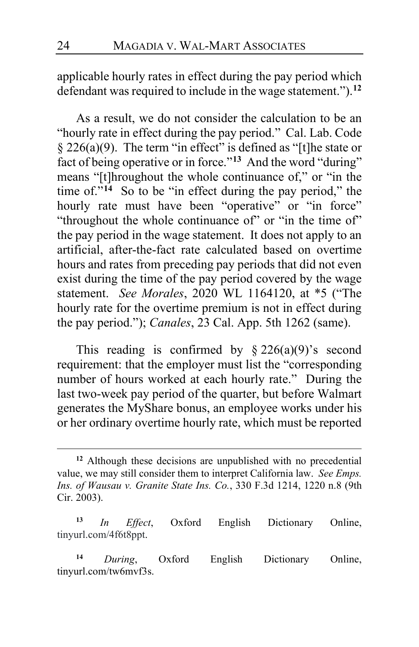applicable hourly rates in effect during the pay period which defendant was required to include in the wage statement.").**[12](#page-23-0)**

As a result, we do not consider the calculation to be an "hourly rate in effect during the pay period." Cal. Lab. Code § 226(a)(9). The term "in effect" is defined as "[t]he state or fact of being operative or in force."**[13](#page-23-1)** And the word "during" means "[t]hroughout the whole continuance of," or "in the time of. $14$  So to be "in effect during the pay period," the hourly rate must have been "operative" or "in force" "throughout the whole continuance of" or "in the time of" the pay period in the wage statement. It does not apply to an artificial, after-the-fact rate calculated based on overtime hours and rates from preceding pay periods that did not even exist during the time of the pay period covered by the wage statement. *See Morales*, 2020 WL 1164120, at \*5 ("The hourly rate for the overtime premium is not in effect during the pay period."); *Canales*, 23 Cal. App. 5th 1262 (same).

This reading is confirmed by  $\S 226(a)(9)$ 's second requirement: that the employer must list the "corresponding number of hours worked at each hourly rate." During the last two-week pay period of the quarter, but before Walmart generates the MyShare bonus, an employee works under his or her ordinary overtime hourly rate, which must be reported

<span id="page-23-0"></span>**<sup>12</sup>** Although these decisions are unpublished with no precedential value, we may still consider them to interpret California law. *See Emps. Ins. of Wausau v. Granite State Ins. Co.*, 330 F.3d 1214, 1220 n.8 (9th Cir. 2003).

<span id="page-23-1"></span>**<sup>13</sup>** *In Effect*, Oxford English Dictionary Online, tinyurl.com/4f6t8ppt.

<span id="page-23-2"></span>**<sup>14</sup>** *During*, Oxford English Dictionary Online, tinyurl.com/tw6mvf3s.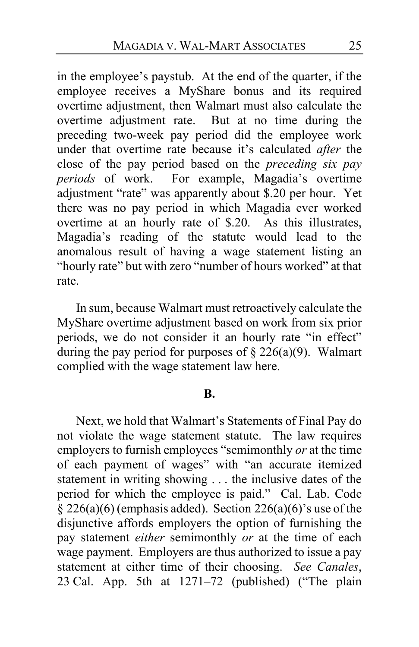in the employee's paystub. At the end of the quarter, if the employee receives a MyShare bonus and its required overtime adjustment, then Walmart must also calculate the overtime adjustment rate. But at no time during the preceding two-week pay period did the employee work under that overtime rate because it's calculated *after* the close of the pay period based on the *preceding six pay*  periods of work. For example, Magadia's overtime adjustment "rate" was apparently about \$.20 per hour. Yet there was no pay period in which Magadia ever worked overtime at an hourly rate of \$.20. As this illustrates, Magadia's reading of the statute would lead to the anomalous result of having a wage statement listing an "hourly rate" but with zero "number of hours worked" at that rate.

In sum, because Walmart must retroactively calculate the MyShare overtime adjustment based on work from six prior periods, we do not consider it an hourly rate "in effect" during the pay period for purposes of  $\S 226(a)(9)$ . Walmart complied with the wage statement law here.

#### **B.**

Next, we hold that Walmart's Statements of Final Pay do not violate the wage statement statute. The law requires employers to furnish employees "semimonthly *or* at the time of each payment of wages" with "an accurate itemized statement in writing showing . . . the inclusive dates of the period for which the employee is paid." Cal. Lab. Code § 226(a)(6) (emphasis added).Section 226(a)(6)'s use of the disjunctive affords employers the option of furnishing the pay statement *either* semimonthly *or* at the time of each wage payment.Employers are thus authorized to issue a pay statement at either time of their choosing. *See Canales*, 23 Cal. App. 5th at 1271–72 (published) ("The plain